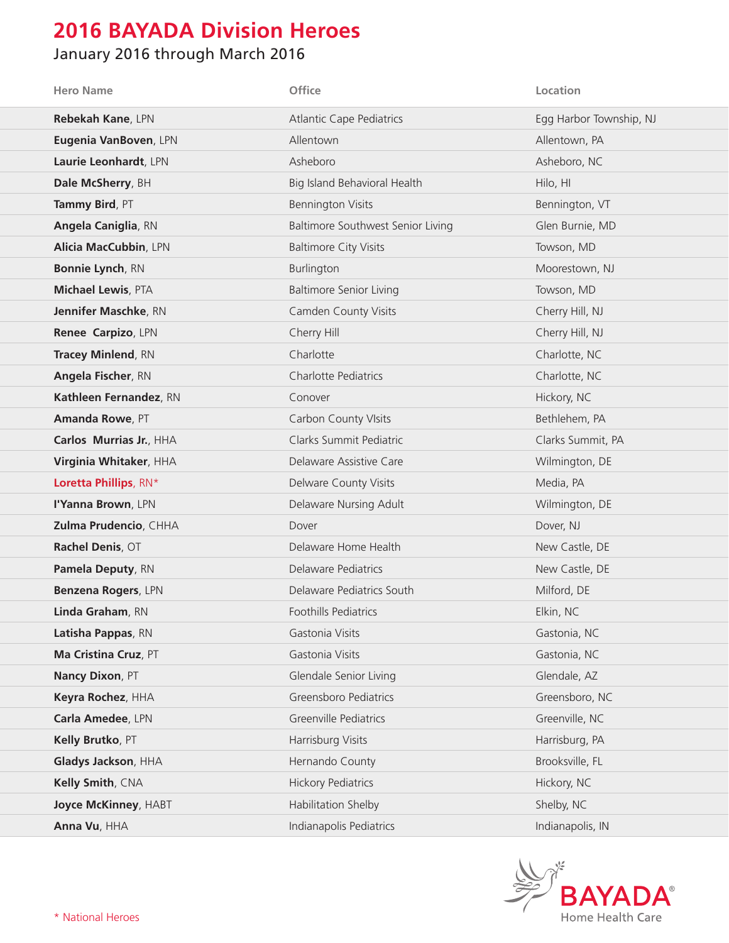## **2016 BAYADA Division Heroes**

## January 2016 through March 2016

| <b>Hero Name</b>             | Office                            | Location                |
|------------------------------|-----------------------------------|-------------------------|
| Rebekah Kane, LPN            | <b>Atlantic Cape Pediatrics</b>   | Egg Harbor Township, NJ |
| Eugenia VanBoven, LPN        | Allentown                         | Allentown, PA           |
| Laurie Leonhardt, LPN        | Asheboro                          | Asheboro, NC            |
| Dale McSherry, BH            | Big Island Behavioral Health      | Hilo, HI                |
| Tammy Bird, PT               | <b>Bennington Visits</b>          | Bennington, VT          |
| <b>Angela Caniglia, RN</b>   | Baltimore Southwest Senior Living | Glen Burnie, MD         |
| <b>Alicia MacCubbin, LPN</b> | <b>Baltimore City Visits</b>      | Towson, MD              |
| Bonnie Lynch, RN             | Burlington                        | Moorestown, NJ          |
| <b>Michael Lewis, PTA</b>    | <b>Baltimore Senior Living</b>    | Towson, MD              |
| Jennifer Maschke, RN         | Camden County Visits              | Cherry Hill, NJ         |
| Renee Carpizo, LPN           | Cherry Hill                       | Cherry Hill, NJ         |
| <b>Tracey Minlend, RN</b>    | Charlotte                         | Charlotte, NC           |
| Angela Fischer, RN           | <b>Charlotte Pediatrics</b>       | Charlotte, NC           |
| Kathleen Fernandez, RN       | Conover                           | Hickory, NC             |
| Amanda Rowe, PT              | <b>Carbon County VIsits</b>       | Bethlehem, PA           |
| Carlos Murrias Jr., HHA      | Clarks Summit Pediatric           | Clarks Summit, PA       |
| Virginia Whitaker, HHA       | Delaware Assistive Care           | Wilmington, DE          |
| Loretta Phillips, RN*        | Delware County Visits             | Media, PA               |
| I'Yanna Brown, LPN           | Delaware Nursing Adult            | Wilmington, DE          |
| Zulma Prudencio, CHHA        | Dover                             | Dover, NJ               |
| Rachel Denis, OT             | Delaware Home Health              | New Castle, DE          |
| Pamela Deputy, RN            | Delaware Pediatrics               | New Castle, DE          |
| Benzena Rogers, LPN          | Delaware Pediatrics South         | Milford, DE             |
| Linda Graham, RN             | Foothills Pediatrics              | Elkin, NC               |
| Latisha Pappas, RN           | Gastonia Visits                   | Gastonia, NC            |
| Ma Cristina Cruz, PT         | Gastonia Visits                   | Gastonia, NC            |
| Nancy Dixon, PT              | Glendale Senior Living            | Glendale, AZ            |
| Keyra Rochez, HHA            | Greensboro Pediatrics             | Greensboro, NC          |
| Carla Amedee, LPN            | Greenville Pediatrics             | Greenville, NC          |
| Kelly Brutko, PT             | Harrisburg Visits                 | Harrisburg, PA          |
| Gladys Jackson, HHA          | Hernando County                   | Brooksville, FL         |
| Kelly Smith, CNA             | <b>Hickory Pediatrics</b>         | Hickory, NC             |
| Joyce McKinney, HABT         | Habilitation Shelby               | Shelby, NC              |
| Anna Vu, HHA                 | Indianapolis Pediatrics           | Indianapolis, IN        |

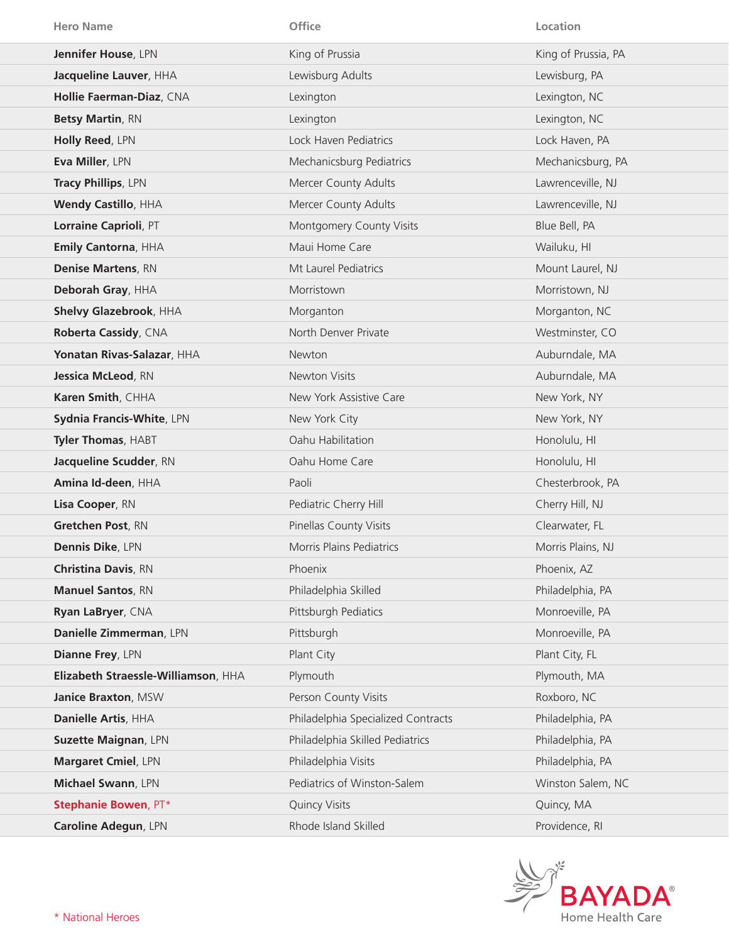| <b>Hero Name</b>                    | <b>Office</b>                      | Location            |
|-------------------------------------|------------------------------------|---------------------|
| Jennifer House, LPN                 | King of Prussia                    | King of Prussia, PA |
| Jacqueline Lauver, HHA              | Lewisburg Adults                   | Lewisburg, PA       |
| Hollie Faerman-Diaz, CNA            | Lexington                          | Lexington, NC       |
| <b>Betsy Martin, RN</b>             | Lexington                          | Lexington, NC       |
| Holly Reed, LPN                     | Lock Haven Pediatrics              | Lock Haven, PA      |
| Eva Miller, LPN                     | Mechanicsburg Pediatrics           | Mechanicsburg, PA   |
| Tracy Phillips, LPN                 | Mercer County Adults               | Lawrenceville, NJ   |
| <b>Wendy Castillo, HHA</b>          | Mercer County Adults               | Lawrenceville, NJ   |
| Lorraine Caprioli, PT               | Montgomery County Visits           | Blue Bell, PA       |
| Emily Cantorna, HHA                 | Maui Home Care                     | Wailuku, HI         |
| <b>Denise Martens, RN</b>           | Mt Laurel Pediatrics               | Mount Laurel, NJ    |
| Deborah Gray, HHA                   | Morristown                         | Morristown, NJ      |
| Shelvy Glazebrook, HHA              | Morganton                          | Morganton, NC       |
| Roberta Cassidy, CNA                | North Denver Private               | Westminster, CO     |
| Yonatan Rivas-Salazar, HHA          | <b>Newton</b>                      | Auburndale, MA      |
| <b>Jessica McLeod, RN</b>           | Newton Visits                      | Auburndale, MA      |
| Karen Smith, CHHA                   | New York Assistive Care            | New York, NY        |
| Sydnia Francis-White, LPN           | New York City                      | New York, NY        |
| Tyler Thomas, HABT                  | Oahu Habilitation                  | Honolulu, HI        |
| Jacqueline Scudder, RN              | Oahu Home Care                     | Honolulu, HI        |
| Amina Id-deen, HHA                  | Paoli                              | Chesterbrook, PA    |
| Lisa Cooper, RN                     | Pediatric Cherry Hill              | Cherry Hill, NJ     |
| Gretchen Post, RN                   | Pinellas County Visits             | Clearwater, FL      |
| <b>Dennis Dike, LPN</b>             | <b>Morris Plains Pediatrics</b>    | Morris Plains, NJ   |
| <b>Christina Davis, RN</b>          | Phoenix                            | Phoenix, AZ         |
| <b>Manuel Santos, RN</b>            | Philadelphia Skilled               | Philadelphia, PA    |
| Ryan LaBryer, CNA                   | Pittsburgh Pediatics               | Monroeville, PA     |
| Danielle Zimmerman, LPN             | Pittsburgh                         | Monroeville, PA     |
| <b>Dianne Frey, LPN</b>             | Plant City                         | Plant City, FL      |
| Elizabeth Straessle-Williamson, HHA | Plymouth                           | Plymouth, MA        |
| Janice Braxton, MSW                 | Person County Visits               | Roxboro, NC         |
| Danielle Artis, HHA                 | Philadelphia Specialized Contracts | Philadelphia, PA    |
| Suzette Maignan, LPN                | Philadelphia Skilled Pediatrics    | Philadelphia, PA    |
| Margaret Cmiel, LPN                 | Philadelphia Visits                | Philadelphia, PA    |
| Michael Swann, LPN                  | Pediatrics of Winston-Salem        | Winston Salem, NC   |
| Stephanie Bowen, PT*                | <b>Quincy Visits</b>               | Quincy, MA          |
| Caroline Adegun, LPN                | Rhode Island Skilled               | Providence, RI      |

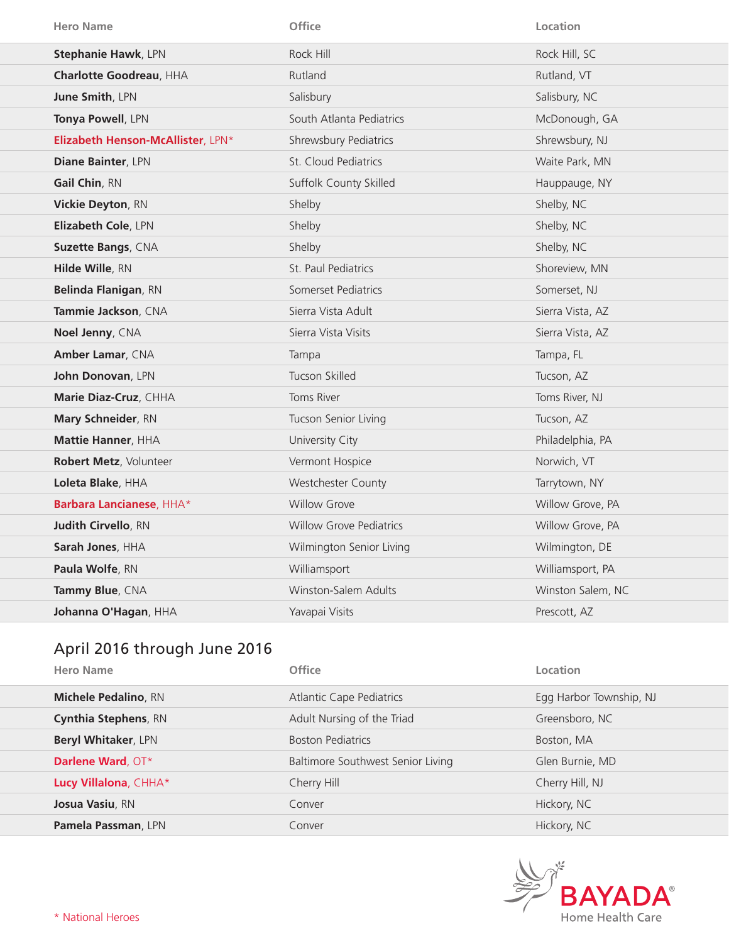| <b>Hero Name</b>                  | Office                         | Location          |
|-----------------------------------|--------------------------------|-------------------|
| <b>Stephanie Hawk, LPN</b>        | Rock Hill                      | Rock Hill, SC     |
| Charlotte Goodreau, HHA           | Rutland                        | Rutland, VT       |
| June Smith, LPN                   | Salisbury                      | Salisbury, NC     |
| Tonya Powell, LPN                 | South Atlanta Pediatrics       | McDonough, GA     |
| Elizabeth Henson-McAllister, LPN* | Shrewsbury Pediatrics          | Shrewsbury, NJ    |
| Diane Bainter, LPN                | St. Cloud Pediatrics           | Waite Park, MN    |
| Gail Chin, RN                     | Suffolk County Skilled         | Hauppauge, NY     |
| Vickie Deyton, RN                 | Shelby                         | Shelby, NC        |
| Elizabeth Cole, LPN               | Shelby                         | Shelby, NC        |
| <b>Suzette Bangs, CNA</b>         | Shelby                         | Shelby, NC        |
| Hilde Wille, RN                   | St. Paul Pediatrics            | Shoreview, MN     |
| Belinda Flanigan, RN              | Somerset Pediatrics            | Somerset, NJ      |
| Tammie Jackson, CNA               | Sierra Vista Adult             | Sierra Vista, AZ  |
|                                   |                                |                   |
| Noel Jenny, CNA                   | Sierra Vista Visits            | Sierra Vista, AZ  |
| Amber Lamar, CNA                  | Tampa                          | Tampa, FL         |
| John Donovan, LPN                 | Tucson Skilled                 | Tucson, AZ        |
| Marie Diaz-Cruz, CHHA             | Toms River                     | Toms River, NJ    |
| Mary Schneider, RN                | Tucson Senior Living           | Tucson, AZ        |
| Mattie Hanner, HHA                | University City                | Philadelphia, PA  |
| Robert Metz, Volunteer            | Vermont Hospice                | Norwich, VT       |
| Loleta Blake, HHA                 | <b>Westchester County</b>      | Tarrytown, NY     |
| Barbara Lancianese, HHA*          | <b>Willow Grove</b>            | Willow Grove, PA  |
| Judith Cirvello, RN               | <b>Willow Grove Pediatrics</b> | Willow Grove, PA  |
| Sarah Jones, HHA                  | Wilmington Senior Living       | Wilmington, DE    |
| Paula Wolfe, RN                   | Williamsport                   | Williamsport, PA  |
| Tammy Blue, CNA                   | Winston-Salem Adults           | Winston Salem, NC |
| Johanna O'Hagan, HHA              | Yavapai Visits                 | Prescott, AZ      |

## April 2016 through June 2016

| <b>Hero Name</b>            | Office                            | Location                |
|-----------------------------|-----------------------------------|-------------------------|
| <b>Michele Pedalino, RN</b> | <b>Atlantic Cape Pediatrics</b>   | Egg Harbor Township, NJ |
| <b>Cynthia Stephens, RN</b> | Adult Nursing of the Triad        | Greensboro, NC          |
| <b>Beryl Whitaker, LPN</b>  | <b>Boston Pediatrics</b>          | Boston, MA              |
| Darlene Ward, OT*           | Baltimore Southwest Senior Living | Glen Burnie, MD         |
| Lucy Villalona, CHHA*       | Cherry Hill                       | Cherry Hill, NJ         |
| Josua Vasiu, RN             | Conver                            | Hickory, NC             |
| <b>Pamela Passman, LPN</b>  | Conver                            | Hickory, NC             |

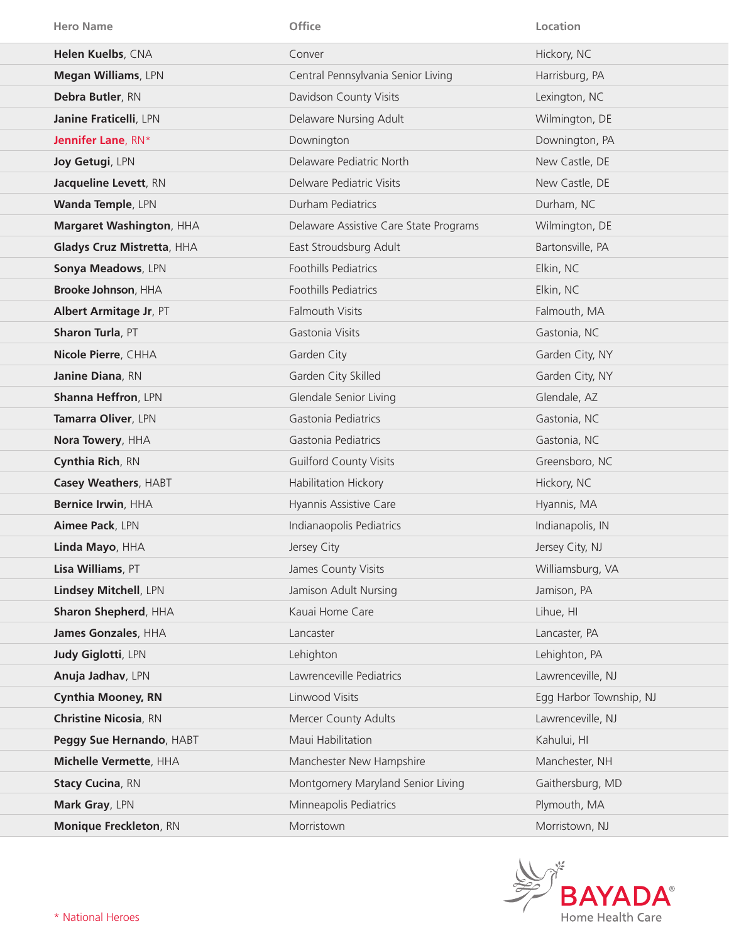| <b>Hero Name</b>             | Office                                 | Location                |
|------------------------------|----------------------------------------|-------------------------|
| Helen Kuelbs, CNA            | Conver                                 | Hickory, NC             |
| Megan Williams, LPN          | Central Pennsylvania Senior Living     | Harrisburg, PA          |
| Debra Butler, RN             | Davidson County Visits                 | Lexington, NC           |
| Janine Fraticelli, LPN       | Delaware Nursing Adult                 | Wilmington, DE          |
| Jennifer Lane, RN*           | Downington                             | Downington, PA          |
| Joy Getugi, LPN              | Delaware Pediatric North               | New Castle, DE          |
| Jacqueline Levett, RN        | Delware Pediatric Visits               | New Castle, DE          |
| Wanda Temple, LPN            | Durham Pediatrics                      | Durham, NC              |
| Margaret Washington, HHA     | Delaware Assistive Care State Programs | Wilmington, DE          |
| Gladys Cruz Mistretta, HHA   | East Stroudsburg Adult                 | Bartonsville, PA        |
| Sonya Meadows, LPN           | Foothills Pediatrics                   | Elkin, NC               |
| Brooke Johnson, HHA          | Foothills Pediatrics                   | Elkin, NC               |
| Albert Armitage Jr, PT       | <b>Falmouth Visits</b>                 | Falmouth, MA            |
| Sharon Turla, PT             | Gastonia Visits                        | Gastonia, NC            |
| Nicole Pierre, CHHA          | Garden City                            | Garden City, NY         |
| Janine Diana, RN             | Garden City Skilled                    | Garden City, NY         |
| Shanna Heffron, LPN          | Glendale Senior Living                 | Glendale, AZ            |
| Tamarra Oliver, LPN          | Gastonia Pediatrics                    | Gastonia, NC            |
| Nora Towery, HHA             | Gastonia Pediatrics                    | Gastonia, NC            |
| Cynthia Rich, RN             | <b>Guilford County Visits</b>          | Greensboro, NC          |
| Casey Weathers, HABT         | Habilitation Hickory                   | Hickory, NC             |
| Bernice Irwin, HHA           | Hyannis Assistive Care                 | Hyannis, MA             |
| Aimee Pack, LPN              | Indianaopolis Pediatrics               | Indianapolis, IN        |
| Linda Mayo, HHA              | Jersey City                            | Jersey City, NJ         |
| Lisa Williams, PT            | James County Visits                    | Williamsburg, VA        |
| Lindsey Mitchell, LPN        | Jamison Adult Nursing                  | Jamison, PA             |
| Sharon Shepherd, HHA         | Kauai Home Care                        | Lihue, HI               |
| James Gonzales, HHA          | Lancaster                              | Lancaster, PA           |
| Judy Giglotti, LPN           | Lehighton                              | Lehighton, PA           |
| Anuja Jadhav, LPN            | Lawrenceville Pediatrics               | Lawrenceville, NJ       |
| <b>Cynthia Mooney, RN</b>    | Linwood Visits                         | Egg Harbor Township, NJ |
| <b>Christine Nicosia, RN</b> | Mercer County Adults                   | Lawrenceville, NJ       |
| Peggy Sue Hernando, HABT     | Maui Habilitation                      | Kahului, HI             |
| Michelle Vermette, HHA       | Manchester New Hampshire               | Manchester, NH          |
| <b>Stacy Cucina, RN</b>      | Montgomery Maryland Senior Living      | Gaithersburg, MD        |
| Mark Gray, LPN               | Minneapolis Pediatrics                 | Plymouth, MA            |
| Monique Freckleton, RN       | Morristown                             | Morristown, NJ          |

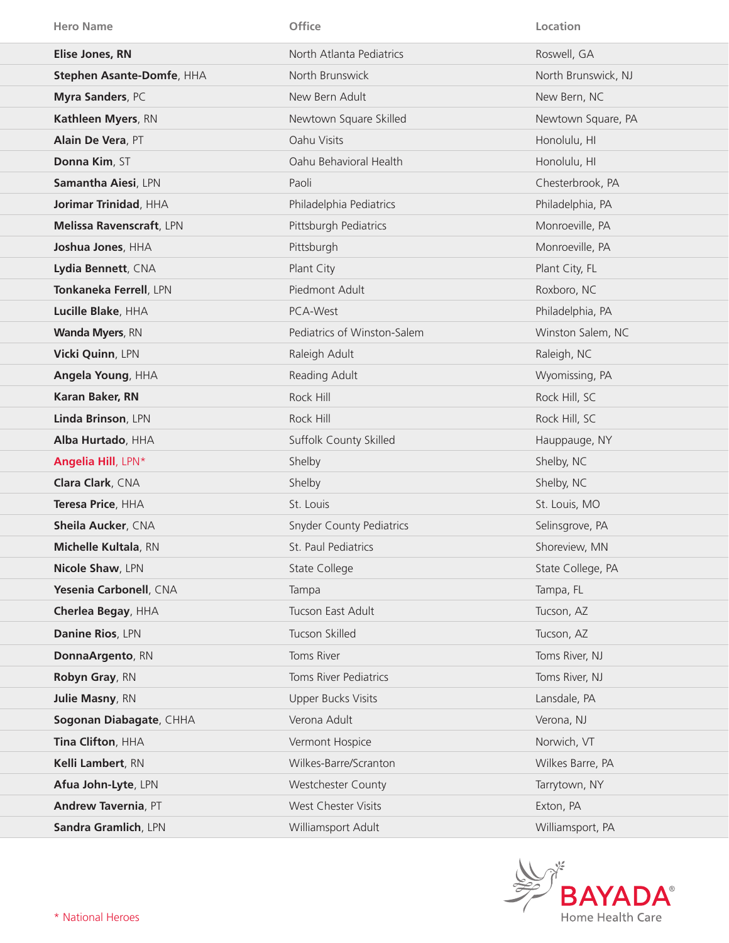| <b>Hero Name</b>            | Office                          | Location            |
|-----------------------------|---------------------------------|---------------------|
| <b>Elise Jones, RN</b>      | North Atlanta Pediatrics        | Roswell, GA         |
| Stephen Asante-Domfe, HHA   | North Brunswick                 | North Brunswick, NJ |
| Myra Sanders, PC            | New Bern Adult                  | New Bern, NC        |
| Kathleen Myers, RN          | Newtown Square Skilled          | Newtown Square, PA  |
| Alain De Vera, PT           | Oahu Visits                     | Honolulu, HI        |
| Donna Kim, ST               | Oahu Behavioral Health          | Honolulu, HI        |
| Samantha Aiesi, LPN         | Paoli                           | Chesterbrook, PA    |
| Jorimar Trinidad, HHA       | Philadelphia Pediatrics         | Philadelphia, PA    |
| Melissa Ravenscraft, LPN    | Pittsburgh Pediatrics           | Monroeville, PA     |
| Joshua Jones, HHA           | Pittsburgh                      | Monroeville, PA     |
| Lydia Bennett, CNA          | Plant City                      | Plant City, FL      |
| Tonkaneka Ferrell, LPN      | Piedmont Adult                  | Roxboro, NC         |
| Lucille Blake, HHA          | PCA-West                        | Philadelphia, PA    |
| <b>Wanda Myers, RN</b>      | Pediatrics of Winston-Salem     | Winston Salem, NC   |
| Vicki Quinn, LPN            | Raleigh Adult                   | Raleigh, NC         |
| Angela Young, HHA           | Reading Adult                   | Wyomissing, PA      |
| Karan Baker, RN             | Rock Hill                       | Rock Hill, SC       |
| Linda Brinson, LPN          | Rock Hill                       | Rock Hill, SC       |
| Alba Hurtado, HHA           | Suffolk County Skilled          | Hauppauge, NY       |
| Angelia Hill, LPN*          | Shelby                          | Shelby, NC          |
| Clara Clark, CNA            | Shelby                          | Shelby, NC          |
| Teresa Price, HHA           | St. Louis                       | St. Louis, MO       |
| Sheila Aucker, CNA          | <b>Snyder County Pediatrics</b> | Selinsgrove, PA     |
| <b>Michelle Kultala, RN</b> | St. Paul Pediatrics             | Shoreview, MN       |
| Nicole Shaw, LPN            | <b>State College</b>            | State College, PA   |
| Yesenia Carbonell, CNA      | Tampa                           | Tampa, FL           |
| Cherlea Begay, HHA          | Tucson East Adult               | Tucson, AZ          |
| Danine Rios, LPN            | Tucson Skilled                  | Tucson, AZ          |
| DonnaArgento, RN            | Toms River                      | Toms River, NJ      |
| Robyn Gray, RN              | Toms River Pediatrics           | Toms River, NJ      |
| Julie Masny, RN             | <b>Upper Bucks Visits</b>       | Lansdale, PA        |
| Sogonan Diabagate, CHHA     | Verona Adult                    | Verona, NJ          |
| Tina Clifton, HHA           | Vermont Hospice                 | Norwich, VT         |
| Kelli Lambert, RN           | Wilkes-Barre/Scranton           | Wilkes Barre, PA    |
| Afua John-Lyte, LPN         | Westchester County              | Tarrytown, NY       |
| Andrew Tavernia, PT         | West Chester Visits             | Exton, PA           |
| Sandra Gramlich, LPN        | Williamsport Adult              | Williamsport, PA    |

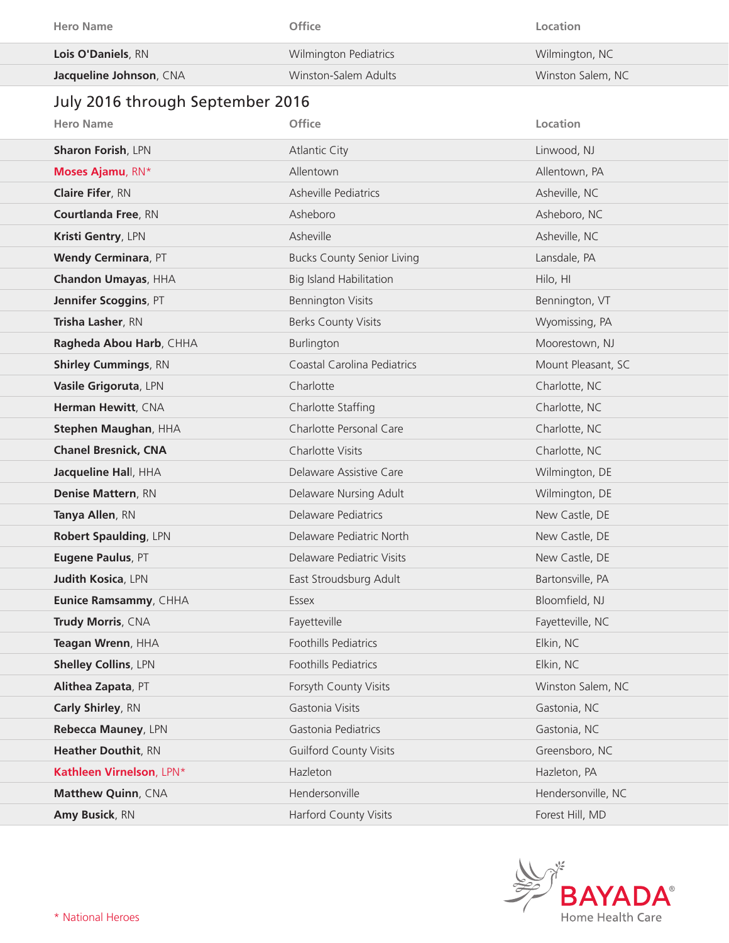| <b>Hero Name</b>                 | Office                            | Location           |
|----------------------------------|-----------------------------------|--------------------|
| Lois O'Daniels, RN               | <b>Wilmington Pediatrics</b>      | Wilmington, NC     |
| Jacqueline Johnson, CNA          | Winston-Salem Adults              | Winston Salem, NC  |
| July 2016 through September 2016 |                                   |                    |
| <b>Hero Name</b>                 | Office                            | Location           |
| <b>Sharon Forish, LPN</b>        | <b>Atlantic City</b>              | Linwood, NJ        |
| Moses Ajamu, RN*                 | Allentown                         | Allentown, PA      |
| <b>Claire Fifer, RN</b>          | Asheville Pediatrics              | Asheville, NC      |
| <b>Courtlanda Free, RN</b>       | Asheboro                          | Asheboro, NC       |
| Kristi Gentry, LPN               | Asheville                         | Asheville, NC      |
| <b>Wendy Cerminara, PT</b>       | <b>Bucks County Senior Living</b> | Lansdale, PA       |
| Chandon Umayas, HHA              | <b>Big Island Habilitation</b>    | Hilo, HI           |
| Jennifer Scoggins, PT            | <b>Bennington Visits</b>          | Bennington, VT     |
| Trisha Lasher, RN                | <b>Berks County Visits</b>        | Wyomissing, PA     |
| Ragheda Abou Harb, CHHA          | Burlington                        | Moorestown, NJ     |
| <b>Shirley Cummings, RN</b>      | Coastal Carolina Pediatrics       | Mount Pleasant, SC |
| Vasile Grigoruta, LPN            | Charlotte                         | Charlotte, NC      |
| Herman Hewitt, CNA               | Charlotte Staffing                | Charlotte, NC      |
| Stephen Maughan, HHA             | Charlotte Personal Care           | Charlotte, NC      |
| <b>Chanel Bresnick, CNA</b>      | Charlotte Visits                  | Charlotte, NC      |
| Jacqueline Hall, HHA             | Delaware Assistive Care           | Wilmington, DE     |
| Denise Mattern, RN               | Delaware Nursing Adult            | Wilmington, DE     |
| $T_{2}$ nya Allan $DN$           | Dolariaro Bodistricc              | $N_{ON}/C_{2}$     |

| Denise Mattern, RN           | Delaware Nursing Adult        | Wilmington, DE     |
|------------------------------|-------------------------------|--------------------|
| Tanya Allen, RN              | Delaware Pediatrics           | New Castle, DE     |
| <b>Robert Spaulding, LPN</b> | Delaware Pediatric North      | New Castle, DE     |
| Eugene Paulus, PT            | Delaware Pediatric Visits     | New Castle, DE     |
| <b>Judith Kosica, LPN</b>    | East Stroudsburg Adult        | Bartonsville, PA   |
| Eunice Ramsammy, CHHA        | Essex                         | Bloomfield, NJ     |
| Trudy Morris, CNA            | Fayetteville                  | Fayetteville, NC   |
| Teagan Wrenn, HHA            | <b>Foothills Pediatrics</b>   | Elkin, NC          |
| <b>Shelley Collins, LPN</b>  | Foothills Pediatrics          | Elkin, NC          |
| Alithea Zapata, PT           | Forsyth County Visits         | Winston Salem, NC  |
| Carly Shirley, RN            | Gastonia Visits               | Gastonia, NC       |
| Rebecca Mauney, LPN          | Gastonia Pediatrics           | Gastonia, NC       |
| <b>Heather Douthit, RN</b>   | <b>Guilford County Visits</b> | Greensboro, NC     |
| Kathleen Virnelson, LPN*     | Hazleton                      | Hazleton, PA       |
| Matthew Quinn, CNA           | Hendersonville                | Hendersonville, NC |
| Amy Busick, RN               | <b>Harford County Visits</b>  | Forest Hill, MD    |
|                              |                               |                    |

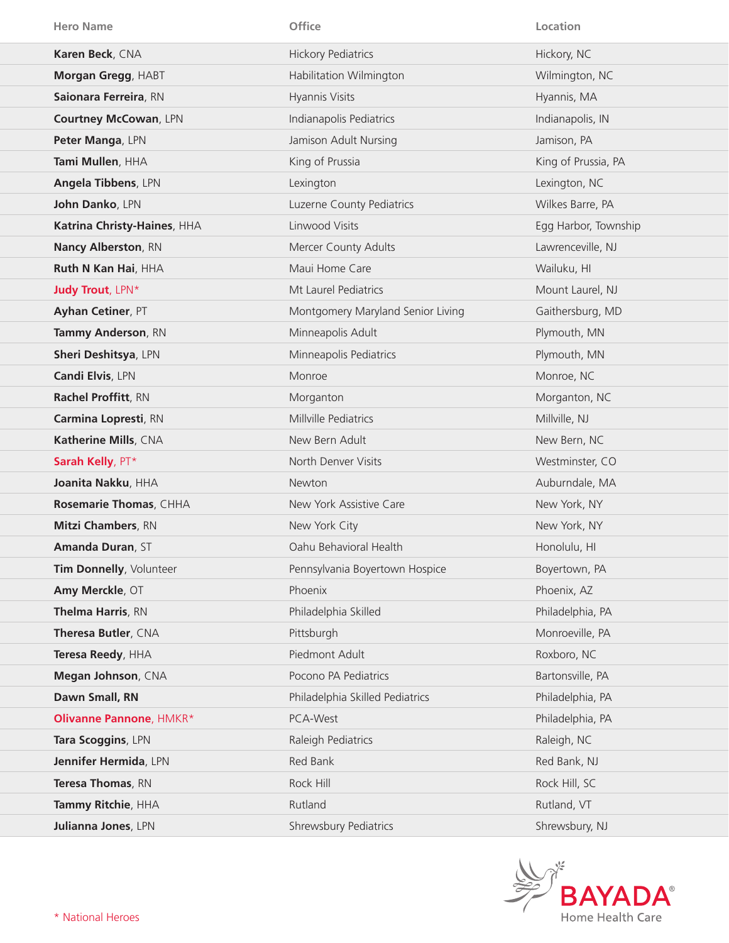| <b>Hero Name</b>             | Office                            | Location             |
|------------------------------|-----------------------------------|----------------------|
| Karen Beck, CNA              | <b>Hickory Pediatrics</b>         | Hickory, NC          |
| Morgan Gregg, HABT           | Habilitation Wilmington           | Wilmington, NC       |
| Saionara Ferreira, RN        | Hyannis Visits                    | Hyannis, MA          |
| <b>Courtney McCowan, LPN</b> | Indianapolis Pediatrics           | Indianapolis, IN     |
| Peter Manga, LPN             | Jamison Adult Nursing             | Jamison, PA          |
| Tami Mullen, HHA             | King of Prussia                   | King of Prussia, PA  |
| Angela Tibbens, LPN          | Lexington                         | Lexington, NC        |
| John Danko, LPN              | Luzerne County Pediatrics         | Wilkes Barre, PA     |
| Katrina Christy-Haines, HHA  | Linwood Visits                    | Egg Harbor, Township |
| <b>Nancy Alberston, RN</b>   | Mercer County Adults              | Lawrenceville, NJ    |
| Ruth N Kan Hai, HHA          | Maui Home Care                    | Wailuku, HI          |
| <b>Judy Trout, LPN*</b>      | Mt Laurel Pediatrics              | Mount Laurel, NJ     |
| Ayhan Cetiner, PT            | Montgomery Maryland Senior Living | Gaithersburg, MD     |
| Tammy Anderson, RN           | Minneapolis Adult                 | Plymouth, MN         |
| Sheri Deshitsya, LPN         | Minneapolis Pediatrics            | Plymouth, MN         |
| Candi Elvis, LPN             | Monroe                            | Monroe, NC           |
| Rachel Proffitt, RN          | Morganton                         | Morganton, NC        |
| Carmina Lopresti, RN         | Millville Pediatrics              | Millville, NJ        |
| Katherine Mills, CNA         | New Bern Adult                    | New Bern, NC         |
| Sarah Kelly, PT*             | North Denver Visits               | Westminster, CO      |
| Joanita Nakku, HHA           | Newton                            | Auburndale, MA       |
| Rosemarie Thomas, CHHA       | New York Assistive Care           | New York, NY         |
| <b>Mitzi Chambers, RN</b>    | New York City                     | New York, NY         |
| Amanda Duran, ST             | Oahu Behavioral Health            | Honolulu, HI         |
| Tim Donnelly, Volunteer      | Pennsylvania Boyertown Hospice    | Boyertown, PA        |
| Amy Merckle, OT              | Phoenix                           | Phoenix, AZ          |
| Thelma Harris, RN            | Philadelphia Skilled              | Philadelphia, PA     |
| Theresa Butler, CNA          | Pittsburgh                        | Monroeville, PA      |
| Teresa Reedy, HHA            | Piedmont Adult                    | Roxboro, NC          |
| Megan Johnson, CNA           | Pocono PA Pediatrics              | Bartonsville, PA     |
| Dawn Small, RN               | Philadelphia Skilled Pediatrics   | Philadelphia, PA     |
| Olivanne Pannone, HMKR*      | PCA-West                          | Philadelphia, PA     |
| Tara Scoggins, LPN           | Raleigh Pediatrics                | Raleigh, NC          |
| Jennifer Hermida, LPN        | Red Bank                          | Red Bank, NJ         |
| Teresa Thomas, RN            | Rock Hill                         | Rock Hill, SC        |
| Tammy Ritchie, HHA           | Rutland                           | Rutland, VT          |
| Julianna Jones, LPN          | Shrewsbury Pediatrics             | Shrewsbury, NJ       |